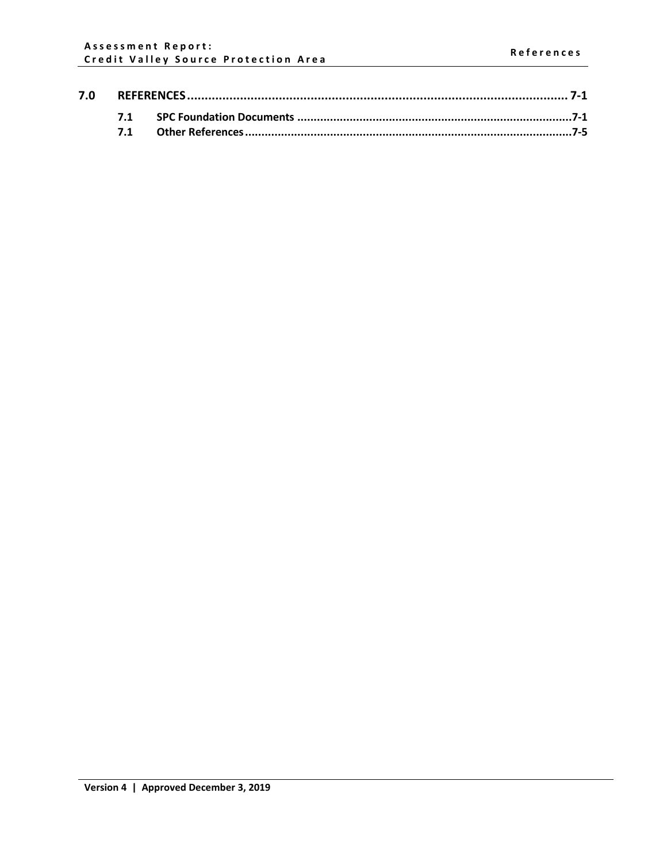| 7.0 |  |  |  |
|-----|--|--|--|
|     |  |  |  |
|     |  |  |  |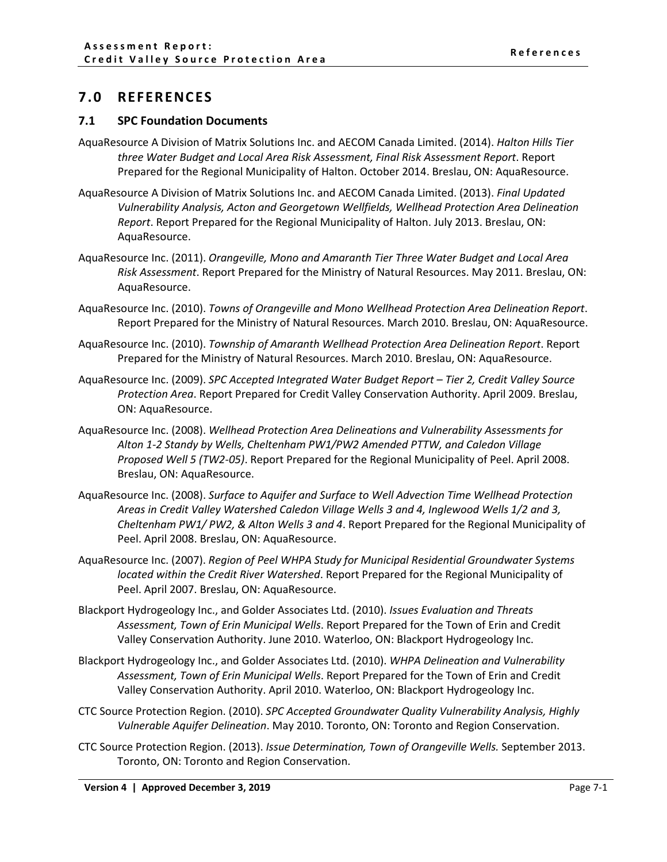## <span id="page-1-0"></span>**7.0 REFERENCES**

## <span id="page-1-1"></span>**7.1 SPC Foundation Documents**

- AquaResource A Division of Matrix Solutions Inc. and AECOM Canada Limited. (2014). *Halton Hills Tier three Water Budget and Local Area Risk Assessment, Final Risk Assessment Report*. Report Prepared for the Regional Municipality of Halton. October 2014. Breslau, ON: AquaResource.
- AquaResource A Division of Matrix Solutions Inc. and AECOM Canada Limited. (2013). *Final Updated Vulnerability Analysis, Acton and Georgetown Wellfields, Wellhead Protection Area Delineation Report*. Report Prepared for the Regional Municipality of Halton. July 2013. Breslau, ON: AquaResource.
- AquaResource Inc. (2011). *Orangeville, Mono and Amaranth Tier Three Water Budget and Local Area Risk Assessment*. Report Prepared for the Ministry of Natural Resources. May 2011. Breslau, ON: AquaResource.
- AquaResource Inc. (2010). *Towns of Orangeville and Mono Wellhead Protection Area Delineation Report*. Report Prepared for the Ministry of Natural Resources. March 2010. Breslau, ON: AquaResource.
- AquaResource Inc. (2010). *Township of Amaranth Wellhead Protection Area Delineation Report*. Report Prepared for the Ministry of Natural Resources. March 2010. Breslau, ON: AquaResource.
- AquaResource Inc. (2009). *SPC Accepted Integrated Water Budget Report – Tier 2, Credit Valley Source Protection Area*. Report Prepared for Credit Valley Conservation Authority. April 2009. Breslau, ON: AquaResource.
- AquaResource Inc. (2008). *Wellhead Protection Area Delineations and Vulnerability Assessments for Alton 1-2 Standy by Wells, Cheltenham PW1/PW2 Amended PTTW, and Caledon Village Proposed Well 5 (TW2-05)*. Report Prepared for the Regional Municipality of Peel. April 2008. Breslau, ON: AquaResource.
- AquaResource Inc. (2008). *Surface to Aquifer and Surface to Well Advection Time Wellhead Protection Areas in Credit Valley Watershed Caledon Village Wells 3 and 4, Inglewood Wells 1/2 and 3, Cheltenham PW1/ PW2, & Alton Wells 3 and 4*. Report Prepared for the Regional Municipality of Peel. April 2008. Breslau, ON: AquaResource.
- AquaResource Inc. (2007). *Region of Peel WHPA Study for Municipal Residential Groundwater Systems located within the Credit River Watershed*. Report Prepared for the Regional Municipality of Peel. April 2007. Breslau, ON: AquaResource.
- Blackport Hydrogeology Inc., and Golder Associates Ltd. (2010). *Issues Evaluation and Threats Assessment, Town of Erin Municipal Wells*. Report Prepared for the Town of Erin and Credit Valley Conservation Authority. June 2010. Waterloo, ON: Blackport Hydrogeology Inc.
- Blackport Hydrogeology Inc., and Golder Associates Ltd. (2010). *WHPA Delineation and Vulnerability Assessment, Town of Erin Municipal Wells*. Report Prepared for the Town of Erin and Credit Valley Conservation Authority. April 2010. Waterloo, ON: Blackport Hydrogeology Inc.
- CTC Source Protection Region. (2010). *SPC Accepted Groundwater Quality Vulnerability Analysis, Highly Vulnerable Aquifer Delineation*. May 2010. Toronto, ON: Toronto and Region Conservation.
- CTC Source Protection Region. (2013). *Issue Determination, Town of Orangeville Wells.* September 2013. Toronto, ON: Toronto and Region Conservation.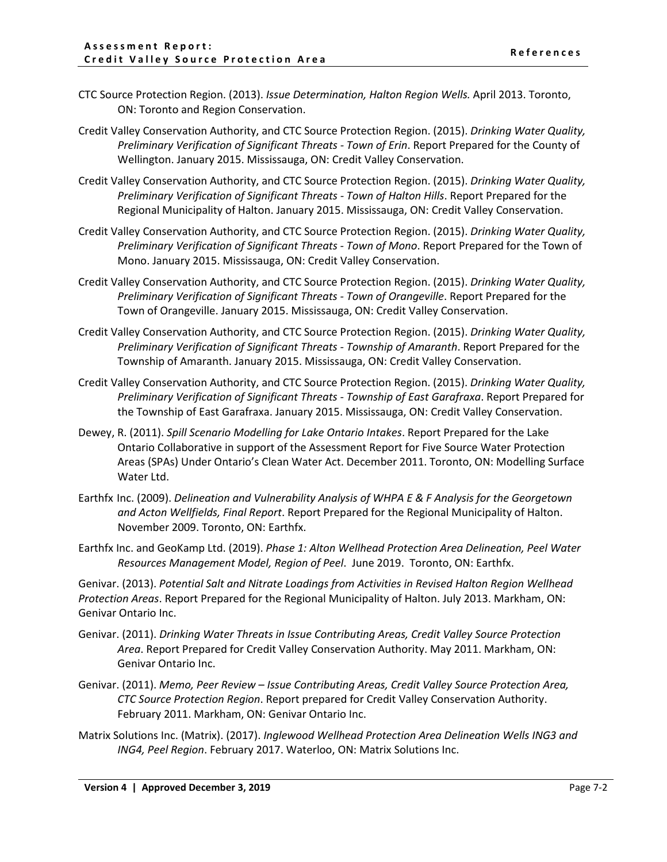- CTC Source Protection Region. (2013). *Issue Determination, Halton Region Wells.* April 2013. Toronto, ON: Toronto and Region Conservation.
- Credit Valley Conservation Authority, and CTC Source Protection Region. (2015). *Drinking Water Quality, Preliminary Verification of Significant Threats - Town of Erin*. Report Prepared for the County of Wellington. January 2015. Mississauga, ON: Credit Valley Conservation.
- Credit Valley Conservation Authority, and CTC Source Protection Region. (2015). *Drinking Water Quality, Preliminary Verification of Significant Threats - Town of Halton Hills*. Report Prepared for the Regional Municipality of Halton. January 2015. Mississauga, ON: Credit Valley Conservation.
- Credit Valley Conservation Authority, and CTC Source Protection Region. (2015). *Drinking Water Quality, Preliminary Verification of Significant Threats - Town of Mono*. Report Prepared for the Town of Mono. January 2015. Mississauga, ON: Credit Valley Conservation.
- Credit Valley Conservation Authority, and CTC Source Protection Region. (2015). *Drinking Water Quality, Preliminary Verification of Significant Threats - Town of Orangeville*. Report Prepared for the Town of Orangeville. January 2015. Mississauga, ON: Credit Valley Conservation.
- Credit Valley Conservation Authority, and CTC Source Protection Region. (2015). *Drinking Water Quality, Preliminary Verification of Significant Threats - Township of Amaranth*. Report Prepared for the Township of Amaranth. January 2015. Mississauga, ON: Credit Valley Conservation.
- Credit Valley Conservation Authority, and CTC Source Protection Region. (2015). *Drinking Water Quality, Preliminary Verification of Significant Threats - Township of East Garafraxa*. Report Prepared for the Township of East Garafraxa. January 2015. Mississauga, ON: Credit Valley Conservation.
- Dewey, R. (2011). *Spill Scenario Modelling for Lake Ontario Intakes*. Report Prepared for the Lake Ontario Collaborative in support of the Assessment Report for Five Source Water Protection Areas (SPAs) Under Ontario's Clean Water Act. December 2011. Toronto, ON: Modelling Surface Water Ltd.
- Earthfx Inc. (2009). *Delineation and Vulnerability Analysis of WHPA E & F Analysis for the Georgetown and Acton Wellfields, Final Report*. Report Prepared for the Regional Municipality of Halton. November 2009. Toronto, ON: Earthfx.
- Earthfx Inc. and GeoKamp Ltd. (2019). *Phase 1: Alton Wellhead Protection Area Delineation, Peel Water Resources Management Model, Region of Peel*. June 2019. Toronto, ON: Earthfx.

Genivar. (2013). *Potential Salt and Nitrate Loadings from Activities in Revised Halton Region Wellhead Protection Areas*. Report Prepared for the Regional Municipality of Halton. July 2013. Markham, ON: Genivar Ontario Inc.

- Genivar. (2011). *Drinking Water Threats in Issue Contributing Areas, Credit Valley Source Protection Area*. Report Prepared for Credit Valley Conservation Authority. May 2011. Markham, ON: Genivar Ontario Inc.
- Genivar. (2011). *Memo, Peer Review – Issue Contributing Areas, Credit Valley Source Protection Area, CTC Source Protection Region*. Report prepared for Credit Valley Conservation Authority. February 2011. Markham, ON: Genivar Ontario Inc.
- Matrix Solutions Inc. (Matrix). (2017). *Inglewood Wellhead Protection Area Delineation Wells ING3 and ING4, Peel Region*. February 2017. Waterloo, ON: Matrix Solutions Inc.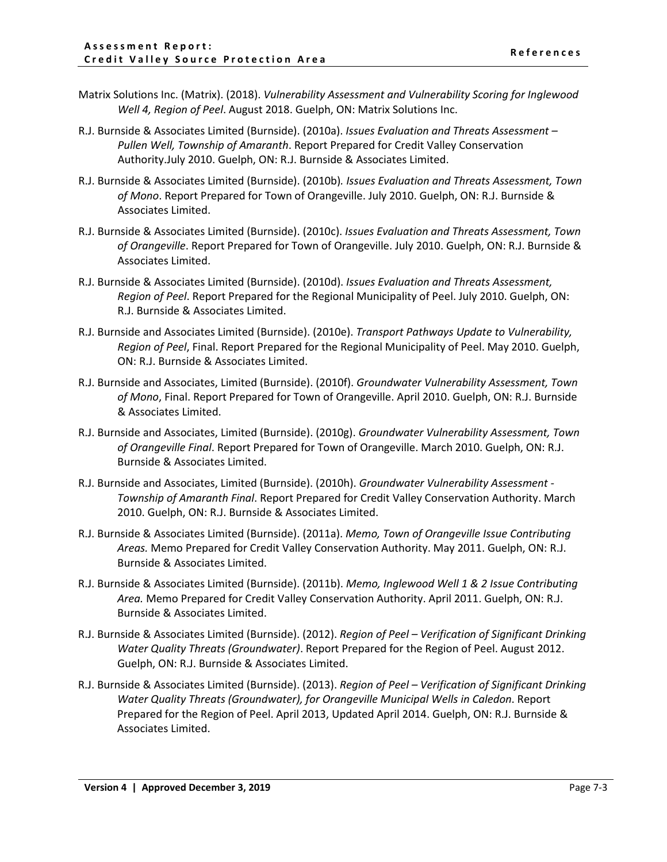- Matrix Solutions Inc. (Matrix). (2018). *Vulnerability Assessment and Vulnerability Scoring for Inglewood Well 4, Region of Peel*. August 2018. Guelph, ON: Matrix Solutions Inc.
- R.J. Burnside & Associates Limited (Burnside). (2010a). *Issues Evaluation and Threats Assessment – Pullen Well, Township of Amaranth*. Report Prepared for Credit Valley Conservation Authority.July 2010. Guelph, ON: R.J. Burnside & Associates Limited.
- R.J. Burnside & Associates Limited (Burnside). (2010b)*. Issues Evaluation and Threats Assessment, Town of Mono*. Report Prepared for Town of Orangeville. July 2010. Guelph, ON: R.J. Burnside & Associates Limited.
- R.J. Burnside & Associates Limited (Burnside). (2010c). *Issues Evaluation and Threats Assessment, Town of Orangeville*. Report Prepared for Town of Orangeville. July 2010. Guelph, ON: R.J. Burnside & Associates Limited.
- R.J. Burnside & Associates Limited (Burnside). (2010d). *Issues Evaluation and Threats Assessment, Region of Peel*. Report Prepared for the Regional Municipality of Peel. July 2010. Guelph, ON: R.J. Burnside & Associates Limited.
- R.J. Burnside and Associates Limited (Burnside). (2010e). *Transport Pathways Update to Vulnerability, Region of Peel*, Final. Report Prepared for the Regional Municipality of Peel. May 2010. Guelph, ON: R.J. Burnside & Associates Limited.
- R.J. Burnside and Associates, Limited (Burnside). (2010f). *Groundwater Vulnerability Assessment, Town of Mono*, Final. Report Prepared for Town of Orangeville. April 2010. Guelph, ON: R.J. Burnside & Associates Limited.
- R.J. Burnside and Associates, Limited (Burnside). (2010g). *Groundwater Vulnerability Assessment, Town of Orangeville Final*. Report Prepared for Town of Orangeville. March 2010. Guelph, ON: R.J. Burnside & Associates Limited.
- R.J. Burnside and Associates, Limited (Burnside). (2010h). *Groundwater Vulnerability Assessment - Township of Amaranth Final*. Report Prepared for Credit Valley Conservation Authority. March 2010. Guelph, ON: R.J. Burnside & Associates Limited.
- R.J. Burnside & Associates Limited (Burnside). (2011a). *Memo, Town of Orangeville Issue Contributing Areas.* Memo Prepared for Credit Valley Conservation Authority. May 2011. Guelph, ON: R.J. Burnside & Associates Limited.
- R.J. Burnside & Associates Limited (Burnside). (2011b). *Memo, Inglewood Well 1 & 2 Issue Contributing Area.* Memo Prepared for Credit Valley Conservation Authority. April 2011. Guelph, ON: R.J. Burnside & Associates Limited.
- R.J. Burnside & Associates Limited (Burnside). (2012). *Region of Peel – Verification of Significant Drinking Water Quality Threats (Groundwater)*. Report Prepared for the Region of Peel. August 2012. Guelph, ON: R.J. Burnside & Associates Limited.
- R.J. Burnside & Associates Limited (Burnside). (2013). *Region of Peel – Verification of Significant Drinking Water Quality Threats (Groundwater), for Orangeville Municipal Wells in Caledon*. Report Prepared for the Region of Peel. April 2013, Updated April 2014. Guelph, ON: R.J. Burnside & Associates Limited.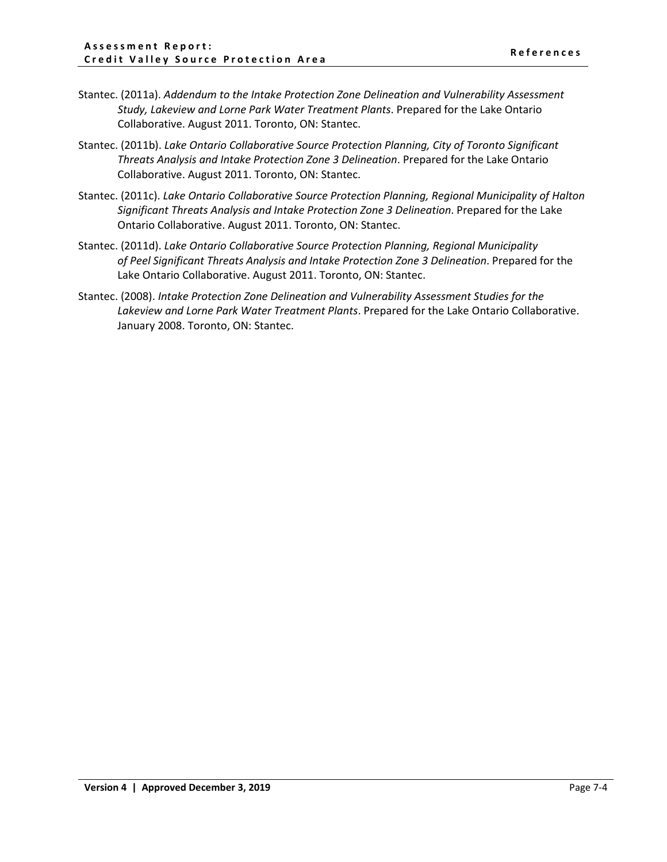- Stantec. (2011a). *Addendum to the Intake Protection Zone Delineation and Vulnerability Assessment Study, Lakeview and Lorne Park Water Treatment Plants*. Prepared for the Lake Ontario Collaborative. August 2011. Toronto, ON: Stantec.
- Stantec. (2011b). *Lake Ontario Collaborative Source Protection Planning, City of Toronto Significant Threats Analysis and Intake Protection Zone 3 Delineation*. Prepared for the Lake Ontario Collaborative. August 2011. Toronto, ON: Stantec.
- Stantec. (2011c). *Lake Ontario Collaborative Source Protection Planning, Regional Municipality of Halton Significant Threats Analysis and Intake Protection Zone 3 Delineation*. Prepared for the Lake Ontario Collaborative. August 2011. Toronto, ON: Stantec.
- Stantec. (2011d). *Lake Ontario Collaborative Source Protection Planning, Regional Municipality of Peel Significant Threats Analysis and Intake Protection Zone 3 Delineation*. Prepared for the Lake Ontario Collaborative. August 2011. Toronto, ON: Stantec.
- Stantec. (2008). *Intake Protection Zone Delineation and Vulnerability Assessment Studies for the Lakeview and Lorne Park Water Treatment Plants*. Prepared for the Lake Ontario Collaborative. January 2008. Toronto, ON: Stantec.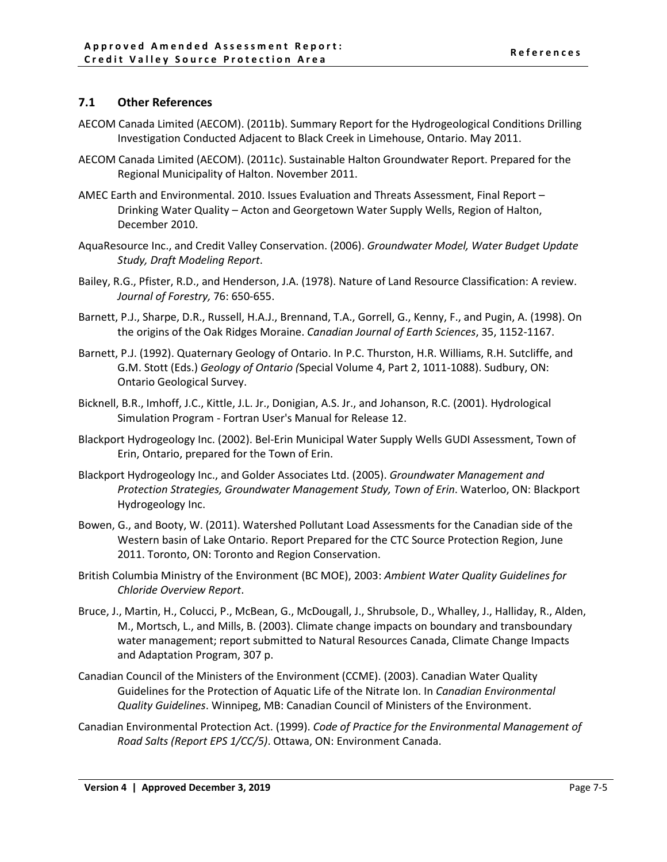## <span id="page-5-0"></span>**7.1 Other References**

- AECOM Canada Limited (AECOM). (2011b). Summary Report for the Hydrogeological Conditions Drilling Investigation Conducted Adjacent to Black Creek in Limehouse, Ontario. May 2011.
- AECOM Canada Limited (AECOM). (2011c). Sustainable Halton Groundwater Report. Prepared for the Regional Municipality of Halton. November 2011.
- AMEC Earth and Environmental. 2010. Issues Evaluation and Threats Assessment, Final Report Drinking Water Quality – Acton and Georgetown Water Supply Wells, Region of Halton, December 2010.
- AquaResource Inc., and Credit Valley Conservation. (2006). *Groundwater Model, Water Budget Update Study, Draft Modeling Report*.
- Bailey, R.G., Pfister, R.D., and Henderson, J.A. (1978). Nature of Land Resource Classification: A review. *Journal of Forestry,* 76: 650-655.
- Barnett, P.J., Sharpe, D.R., Russell, H.A.J., Brennand, T.A., Gorrell, G., Kenny, F., and Pugin, A. (1998). On the origins of the Oak Ridges Moraine. *Canadian Journal of Earth Sciences*, 35, 1152-1167.
- Barnett, P.J. (1992). Quaternary Geology of Ontario. In P.C. Thurston, H.R. Williams, R.H. Sutcliffe, and G.M. Stott (Eds.) *Geology of Ontario (*Special Volume 4, Part 2, 1011-1088). Sudbury, ON: Ontario Geological Survey.
- Bicknell, B.R., Imhoff, J.C., Kittle, J.L. Jr., Donigian, A.S. Jr., and Johanson, R.C. (2001). Hydrological Simulation Program - Fortran User's Manual for Release 12.
- Blackport Hydrogeology Inc. (2002). Bel-Erin Municipal Water Supply Wells GUDI Assessment, Town of Erin, Ontario, prepared for the Town of Erin.
- Blackport Hydrogeology Inc., and Golder Associates Ltd. (2005). *Groundwater Management and Protection Strategies, Groundwater Management Study, Town of Erin*. Waterloo, ON: Blackport Hydrogeology Inc.
- Bowen, G., and Booty, W. (2011). Watershed Pollutant Load Assessments for the Canadian side of the Western basin of Lake Ontario. Report Prepared for the CTC Source Protection Region, June 2011. Toronto, ON: Toronto and Region Conservation.
- British Columbia Ministry of the Environment (BC MOE), 2003: *Ambient Water Quality Guidelines for Chloride Overview Report*.
- Bruce, J., Martin, H., Colucci, P., McBean, G., McDougall, J., Shrubsole, D., Whalley, J., Halliday, R., Alden, M., Mortsch, L., and Mills, B. (2003). Climate change impacts on boundary and transboundary water management; report submitted to Natural Resources Canada, Climate Change Impacts and Adaptation Program, 307 p.
- Canadian Council of the Ministers of the Environment (CCME). (2003). Canadian Water Quality Guidelines for the Protection of Aquatic Life of the Nitrate Ion. In *Canadian Environmental Quality Guidelines*. Winnipeg, MB: Canadian Council of Ministers of the Environment.
- Canadian Environmental Protection Act. (1999). *Code of Practice for the Environmental Management of Road Salts (Report EPS 1/CC/5)*. Ottawa, ON: Environment Canada.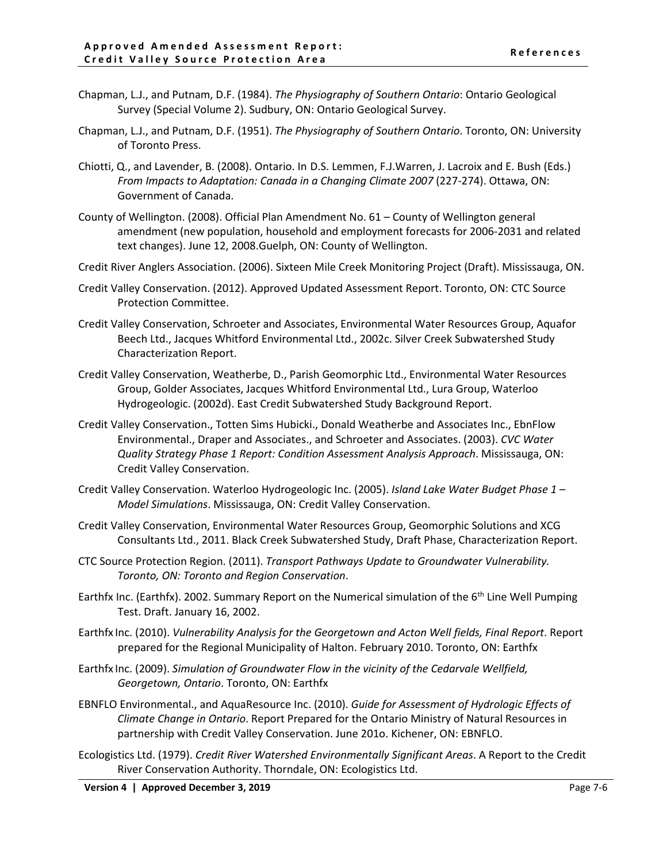- Chapman, L.J., and Putnam, D.F. (1984). *The Physiography of Southern Ontario*: Ontario Geological Survey (Special Volume 2). Sudbury, ON: Ontario Geological Survey.
- Chapman, L.J., and Putnam, D.F. (1951). *The Physiography of Southern Ontario*. Toronto, ON: University of Toronto Press.
- Chiotti, Q., and Lavender, B. (2008). Ontario. In D.S. Lemmen, F.J.Warren, J. Lacroix and E. Bush (Eds.) *From Impacts to Adaptation: Canada in a Changing Climate 2007* (227-274). Ottawa, ON: Government of Canada.
- County of Wellington. (2008). Official Plan Amendment No. 61 County of Wellington general amendment (new population, household and employment forecasts for 2006-2031 and related text changes). June 12, 2008.Guelph, ON: County of Wellington.
- Credit River Anglers Association. (2006). Sixteen Mile Creek Monitoring Project (Draft). Mississauga, ON.
- Credit Valley Conservation. (2012). Approved Updated Assessment Report. Toronto, ON: CTC Source Protection Committee.
- Credit Valley Conservation, Schroeter and Associates, Environmental Water Resources Group, Aquafor Beech Ltd., Jacques Whitford Environmental Ltd., 2002c. Silver Creek Subwatershed Study Characterization Report.
- Credit Valley Conservation, Weatherbe, D., Parish Geomorphic Ltd., Environmental Water Resources Group, Golder Associates, Jacques Whitford Environmental Ltd., Lura Group, Waterloo Hydrogeologic. (2002d). East Credit Subwatershed Study Background Report.
- Credit Valley Conservation., Totten Sims Hubicki., Donald Weatherbe and Associates Inc., EbnFlow Environmental., Draper and Associates., and Schroeter and Associates. (2003). *CVC Water Quality Strategy Phase 1 Report: Condition Assessment Analysis Approach*. Mississauga, ON: Credit Valley Conservation.
- Credit Valley Conservation. Waterloo Hydrogeologic Inc. (2005). *Island Lake Water Budget Phase 1 – Model Simulations*. Mississauga, ON: Credit Valley Conservation.
- Credit Valley Conservation, Environmental Water Resources Group, Geomorphic Solutions and XCG Consultants Ltd., 2011. Black Creek Subwatershed Study, Draft Phase, Characterization Report.
- CTC Source Protection Region. (2011). *Transport Pathways Update to Groundwater Vulnerability. Toronto, ON: Toronto and Region Conservation*.
- Earthfx Inc. (Earthfx). 2002. Summary Report on the Numerical simulation of the 6th Line Well Pumping Test. Draft. January 16, 2002.
- Earthfx Inc. (2010). *Vulnerability Analysis for the Georgetown and Acton Well fields, Final Report*. Report prepared for the Regional Municipality of Halton. February 2010. Toronto, ON: Earthfx
- Earthfx Inc. (2009). *Simulation of Groundwater Flow in the vicinity of the Cedarvale Wellfield, Georgetown, Ontario*. Toronto, ON: Earthfx
- EBNFLO Environmental., and AquaResource Inc. (2010). *Guide for Assessment of Hydrologic Effects of Climate Change in Ontario*. Report Prepared for the Ontario Ministry of Natural Resources in partnership with Credit Valley Conservation. June 201o. Kichener, ON: EBNFLO.
- Ecologistics Ltd. (1979). *Credit River Watershed Environmentally Significant Areas*. A Report to the Credit River Conservation Authority. Thorndale, ON: Ecologistics Ltd.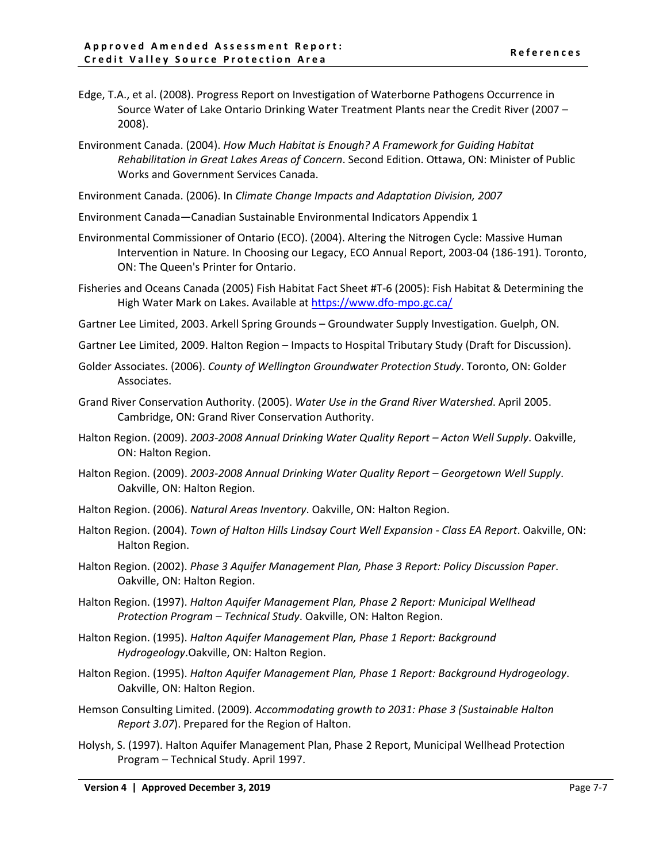- Edge, T.A., et al. (2008). Progress Report on Investigation of Waterborne Pathogens Occurrence in Source Water of Lake Ontario Drinking Water Treatment Plants near the Credit River (2007 – 2008).
- Environment Canada. (2004). *How Much Habitat is Enough? A Framework for Guiding Habitat Rehabilitation in Great Lakes Areas of Concern*. Second Edition. Ottawa, ON: Minister of Public Works and Government Services Canada.

Environment Canada. (2006). In *Climate Change Impacts and Adaptation Division, 2007*

- Environment Canada—Canadian Sustainable Environmental Indicators Appendix 1
- Environmental Commissioner of Ontario (ECO). (2004). Altering the Nitrogen Cycle: Massive Human Intervention in Nature. In Choosing our Legacy, ECO Annual Report, 2003-04 (186-191). Toronto, ON: The Queen's Printer for Ontario.
- Fisheries and Oceans Canada (2005) Fish Habitat Fact Sheet #T-6 (2005): Fish Habitat & Determining the High Water Mark on Lakes. Available at <https://www.dfo-mpo.gc.ca/>
- Gartner Lee Limited, 2003. Arkell Spring Grounds Groundwater Supply Investigation. Guelph, ON.
- Gartner Lee Limited, 2009. Halton Region Impacts to Hospital Tributary Study (Draft for Discussion).
- Golder Associates. (2006). *County of Wellington Groundwater Protection Study*. Toronto, ON: Golder Associates.
- Grand River Conservation Authority. (2005). *Water Use in the Grand River Watershed*. April 2005. Cambridge, ON: Grand River Conservation Authority.
- Halton Region. (2009). *2003-2008 Annual Drinking Water Quality Report Acton Well Supply*. Oakville, ON: Halton Region.
- Halton Region. (2009). *2003-2008 Annual Drinking Water Quality Report Georgetown Well Supply*. Oakville, ON: Halton Region.
- Halton Region. (2006). *Natural Areas Inventory*. Oakville, ON: Halton Region.
- Halton Region. (2004). *Town of Halton Hills Lindsay Court Well Expansion Class EA Report*. Oakville, ON: Halton Region.
- Halton Region. (2002). *Phase 3 Aquifer Management Plan, Phase 3 Report: Policy Discussion Paper*. Oakville, ON: Halton Region.
- Halton Region. (1997). *Halton Aquifer Management Plan, Phase 2 Report: Municipal Wellhead Protection Program – Technical Study*. Oakville, ON: Halton Region.
- Halton Region. (1995). *Halton Aquifer Management Plan, Phase 1 Report: Background Hydrogeology*.Oakville, ON: Halton Region.
- Halton Region. (1995). *Halton Aquifer Management Plan, Phase 1 Report: Background Hydrogeology*. Oakville, ON: Halton Region.
- Hemson Consulting Limited. (2009). *Accommodating growth to 2031: Phase 3 (Sustainable Halton Report 3.07*). Prepared for the Region of Halton.
- Holysh, S. (1997). Halton Aquifer Management Plan, Phase 2 Report, Municipal Wellhead Protection Program – Technical Study. April 1997.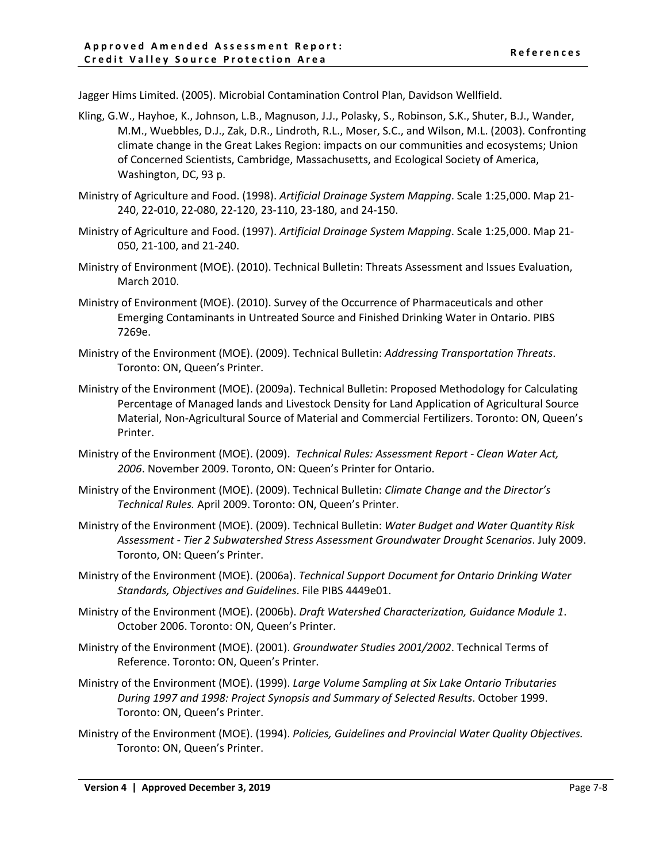Jagger Hims Limited. (2005). Microbial Contamination Control Plan, Davidson Wellfield.

- Kling, G.W., Hayhoe, K., Johnson, L.B., Magnuson, J.J., Polasky, S., Robinson, S.K., Shuter, B.J., Wander, M.M., Wuebbles, D.J., Zak, D.R., Lindroth, R.L., Moser, S.C., and Wilson, M.L. (2003). Confronting climate change in the Great Lakes Region: impacts on our communities and ecosystems; Union of Concerned Scientists, Cambridge, Massachusetts, and Ecological Society of America, Washington, DC, 93 p.
- Ministry of Agriculture and Food. (1998). *Artificial Drainage System Mapping*. Scale 1:25,000. Map 21- 240, 22-010, 22-080, 22-120, 23-110, 23-180, and 24-150.
- Ministry of Agriculture and Food. (1997). *Artificial Drainage System Mapping*. Scale 1:25,000. Map 21- 050, 21-100, and 21-240.
- Ministry of Environment (MOE). (2010). Technical Bulletin: Threats Assessment and Issues Evaluation, March 2010.
- Ministry of Environment (MOE). (2010). Survey of the Occurrence of Pharmaceuticals and other Emerging Contaminants in Untreated Source and Finished Drinking Water in Ontario. PIBS 7269e.
- Ministry of the Environment (MOE). (2009). Technical Bulletin: *Addressing Transportation Threats*. Toronto: ON, Queen's Printer.
- Ministry of the Environment (MOE). (2009a). Technical Bulletin: Proposed Methodology for Calculating Percentage of Managed lands and Livestock Density for Land Application of Agricultural Source Material, Non-Agricultural Source of Material and Commercial Fertilizers. Toronto: ON, Queen's Printer.
- Ministry of the Environment (MOE). (2009). *Technical Rules: Assessment Report - Clean Water Act, 2006*. November 2009. Toronto, ON: Queen's Printer for Ontario.
- Ministry of the Environment (MOE). (2009). Technical Bulletin: *Climate Change and the Director's Technical Rules.* April 2009. Toronto: ON, Queen's Printer.
- Ministry of the Environment (MOE). (2009). Technical Bulletin: *Water Budget and Water Quantity Risk Assessment - Tier 2 Subwatershed Stress Assessment Groundwater Drought Scenarios*. July 2009. Toronto, ON: Queen's Printer.
- Ministry of the Environment (MOE). (2006a). *Technical Support Document for Ontario Drinking Water Standards, Objectives and Guidelines*. File PIBS 4449e01.
- Ministry of the Environment (MOE). (2006b). *Draft Watershed Characterization, Guidance Module 1*. October 2006. Toronto: ON, Queen's Printer.
- Ministry of the Environment (MOE). (2001). *Groundwater Studies 2001/2002*. Technical Terms of Reference. Toronto: ON, Queen's Printer.
- Ministry of the Environment (MOE). (1999). *Large Volume Sampling at Six Lake Ontario Tributaries During 1997 and 1998: Project Synopsis and Summary of Selected Results*. October 1999. Toronto: ON, Queen's Printer.
- Ministry of the Environment (MOE). (1994). *Policies, Guidelines and Provincial Water Quality Objectives.* Toronto: ON, Queen's Printer.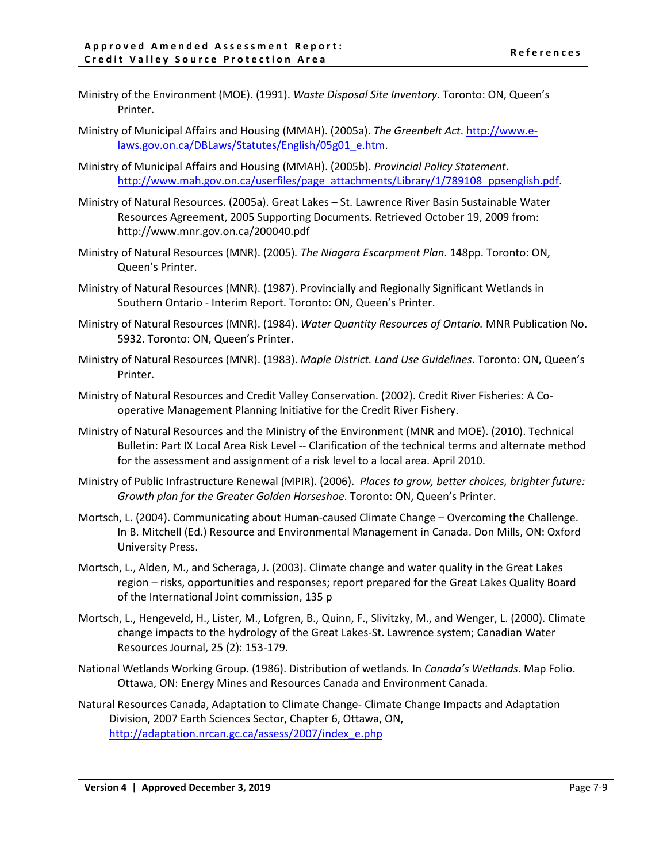- Ministry of the Environment (MOE). (1991). *Waste Disposal Site Inventory*. Toronto: ON, Queen's Printer.
- Ministry of Municipal Affairs and Housing (MMAH). (2005a). *The Greenbelt Act*. [http://www.e](http://www.e-laws.gov.on.ca/DBLaws/Statutes/English/05g01_e.htm)[laws.gov.on.ca/DBLaws/Statutes/English/05g01\\_e.htm.](http://www.e-laws.gov.on.ca/DBLaws/Statutes/English/05g01_e.htm)
- Ministry of Municipal Affairs and Housing (MMAH). (2005b). *Provincial Policy Statement*. [http://www.mah.gov.on.ca/userfiles/page\\_attachments/Library/1/789108\\_ppsenglish.pdf.](http://www.mah.gov.on.ca/userfiles/page_attachments/Library/1/789108_ppsenglish.pdf)
- Ministry of Natural Resources. (2005a). Great Lakes St. Lawrence River Basin Sustainable Water Resources Agreement, 2005 Supporting Documents. Retrieved October 19, 2009 from: <http://www.mnr.gov.on.ca/200040.pdf>
- Ministry of Natural Resources (MNR). (2005)*. The Niagara Escarpment Plan*. 148pp. Toronto: ON, Queen's Printer.
- Ministry of Natural Resources (MNR). (1987). Provincially and Regionally Significant Wetlands in Southern Ontario - Interim Report. Toronto: ON, Queen's Printer.
- Ministry of Natural Resources (MNR). (1984). *Water Quantity Resources of Ontario.* MNR Publication No. 5932. Toronto: ON, Queen's Printer.
- Ministry of Natural Resources (MNR). (1983). *Maple District. Land Use Guidelines*. Toronto: ON, Queen's Printer.
- Ministry of Natural Resources and Credit Valley Conservation. (2002). Credit River Fisheries: A Cooperative Management Planning Initiative for the Credit River Fishery.
- Ministry of Natural Resources and the Ministry of the Environment (MNR and MOE). (2010). Technical Bulletin: Part IX Local Area Risk Level -- Clarification of the technical terms and alternate method for the assessment and assignment of a risk level to a local area. April 2010.
- Ministry of Public Infrastructure Renewal (MPIR). (2006). *Places to grow, better choices, brighter future: Growth plan for the Greater Golden Horseshoe*. Toronto: ON, Queen's Printer.
- Mortsch, L. (2004). Communicating about Human-caused Climate Change Overcoming the Challenge. In B. Mitchell (Ed.) Resource and Environmental Management in Canada. Don Mills, ON: Oxford University Press.
- Mortsch, L., Alden, M., and Scheraga, J. (2003). Climate change and water quality in the Great Lakes region – risks, opportunities and responses; report prepared for the Great Lakes Quality Board of the International Joint commission, 135 p
- Mortsch, L., Hengeveld, H., Lister, M., Lofgren, B., Quinn, F., Slivitzky, M., and Wenger, L. (2000). Climate change impacts to the hydrology of the Great Lakes-St. Lawrence system; Canadian Water Resources Journal, 25 (2): 153-179.
- National Wetlands Working Group. (1986). Distribution of wetlands*.* In *Canada's Wetlands*. Map Folio. Ottawa, ON: Energy Mines and Resources Canada and Environment Canada.
- Natural Resources Canada, Adaptation to Climate Change- Climate Change Impacts and Adaptation Division, 2007 Earth Sciences Sector, Chapter 6, Ottawa, ON, [http://adaptation.nrcan.gc.ca/assess/2007/index\\_e.php](http://adaptation.nrcan.gc.ca/assess/2007/index_e.php)